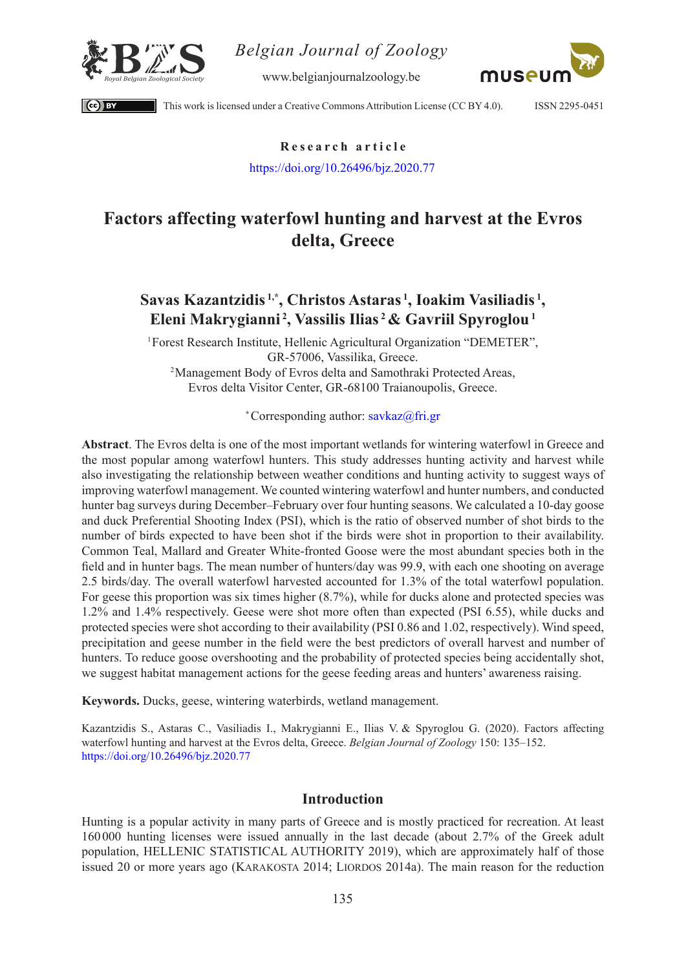

*Belgian Journal of Zoology*

[www.belgianjournalzoology.be](https://www.belgianjournalofzoology.eu/BJZ)



 $\left($ cc) BY

This work is licensed under a [Creative Commons Attribution License \(CC BY 4.0\)](https://creativecommons.org/licenses/by/4.0/). ISSN 2295-0451

## **Research article**

<https://doi.org/10.26496/bjz.2020.77>

# **Factors affecting waterfowl hunting and harvest at the Evros delta, Greece**

## **Savas Kazantzidis 1,\*, Christos Astaras <sup>1</sup> , Ioakim Vasiliadis <sup>1</sup> , Eleni Makrygianni <sup>2</sup> , Vassilis Ilias 2 & Gavriil Spyroglou1**

1Forest Research Institute, Hellenic Agricultural Organization "DEMETER", GR-57006, Vassilika, Greece. 2Management Body of Evros delta and Samothraki Protected Areas, Evros delta Visitor Center, GR-68100 Traianoupolis, Greece.

**\***Corresponding author: [savkaz@fri.gr](mailto:savkaz%40fri.gr?subject=)

**Abstract**. The Evros delta is one of the most important wetlands for wintering waterfowl in Greece and the most popular among waterfowl hunters. This study addresses hunting activity and harvest while also investigating the relationship between weather conditions and hunting activity to suggest ways of improving waterfowl management. We counted wintering waterfowl and hunter numbers, and conducted hunter bag surveys during December–February over four hunting seasons. We calculated a 10-day goose and duck Preferential Shooting Index (PSI), which is the ratio of observed number of shot birds to the number of birds expected to have been shot if the birds were shot in proportion to their availability. Common Teal, Mallard and Greater White-fronted Goose were the most abundant species both in the field and in hunter bags. The mean number of hunters/day was 99.9, with each one shooting on average 2.5 birds/day. The overall waterfowl harvested accounted for 1.3% of the total waterfowl population. For geese this proportion was six times higher (8.7%), while for ducks alone and protected species was 1.2% and 1.4% respectively. Geese were shot more often than expected (PSI 6.55), while ducks and protected species were shot according to their availability (PSI 0.86 and 1.02, respectively). Wind speed, precipitation and geese number in the field were the best predictors of overall harvest and number of hunters. To reduce goose overshooting and the probability of protected species being accidentally shot, we suggest habitat management actions for the geese feeding areas and hunters' awareness raising.

**Keywords.** Ducks, geese, wintering waterbirds, wetland management.

Kazantzidis S., Astaras C., Vasiliadis I., Makrygianni E., Ilias V. & Spyroglou G. (2020). Factors affecting waterfowl hunting and harvest at the Evros delta, Greece. *Belgian Journal of Zoology* 150: 135–152. <https://doi.org/10.26496/bjz.2020.77>

## **Introduction**

Hunting is a popular activity in many parts of Greece and is mostly practiced for recreation. At least 160 000 hunting licenses were issued annually in the last decade (about 2.7% of the Greek adult population, HELLENIC STATISTICAL AUTHORITY 2019), which are approximately half of those issued 20 or more years ago (KARAKOSTA 2014; LIORDOS 2014a). The main reason for the reduction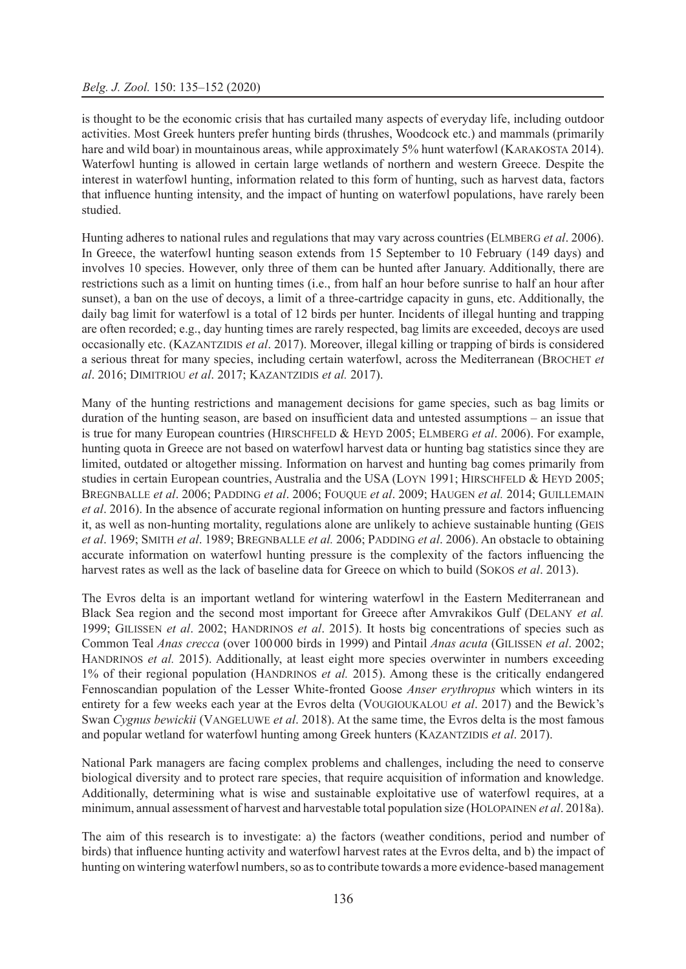is thought to be the economic crisis that has curtailed many aspects of everyday life, including outdoor activities. Most Greek hunters prefer hunting birds (thrushes, Woodcock etc.) and mammals (primarily hare and wild boar) in mountainous areas, while approximately 5% hunt waterfowl (KARAKOSTA 2014). Waterfowl hunting is allowed in certain large wetlands of northern and western Greece. Despite the interest in waterfowl hunting, information related to this form of hunting, such as harvest data, factors that influence hunting intensity, and the impact of hunting on waterfowl populations, have rarely been studied.

Hunting adheres to national rules and regulations that may vary across countries (Elmberg *et al*. 2006). In Greece, the waterfowl hunting season extends from 15 September to 10 February (149 days) and involves 10 species. However, only three of them can be hunted after January. Additionally, there are restrictions such as a limit on hunting times (i.e., from half an hour before sunrise to half an hour after sunset), a ban on the use of decoys, a limit of a three-cartridge capacity in guns, etc. Additionally, the daily bag limit for waterfowl is a total of 12 birds per hunter. Incidents of illegal hunting and trapping are often recorded; e.g., day hunting times are rarely respected, bag limits are exceeded, decoys are used occasionally etc. (KAZANTZIDIS *et al.* 2017). Moreover, illegal killing or trapping of birds is considered a serious threat for many species, including certain waterfowl, across the Mediterranean (Brochet *et al*. 2016; Dimitriou *et al*. 2017; Kazantzidis *et al.* 2017).

Μany of the hunting restrictions and management decisions for game species, such as bag limits or duration of the hunting season, are based on insufficient data and untested assumptions – an issue that is true for many European countries (HIRSCHFELD & HEYD 2005; ELMBERG *et al.* 2006). For example, hunting quota in Greece are not based on waterfowl harvest data or hunting bag statistics since they are limited, outdated or altogether missing. Information on harvest and hunting bag comes primarily from studies in certain European countries, Australia and the USA (LOYN 1991; HIRSCHFELD & HEYD 2005; Bregnballe *et al*. 2006; Padding *et al*. 2006; Fouque *et al*. 2009; Haugen *et al.* 2014; Guillemain *et al*. 2016). In the absence of accurate regional information on hunting pressure and factors influencing it, as well as non-hunting mortality, regulations alone are unlikely to achieve sustainable hunting (Geis *et al*. 1969; Smith *et al*. 1989; Bregnballe *et al.* 2006; Padding *et al*. 2006). An obstacle to obtaining accurate information on waterfowl hunting pressure is the complexity of the factors influencing the harvest rates as well as the lack of baseline data for Greece on which to build (Sokos *et al*. 2013).

The Evros delta is an important wetland for wintering waterfowl in the Eastern Mediterranean and Black Sea region and the second most important for Greece after Amvrakikos Gulf (DELANY *et al.* 1999; GILISSEN *et al.* 2002; HANDRINOS *et al.* 2015). It hosts big concentrations of species such as Common Teal *Anas crecca* (over 100 000 birds in 1999) and Pintail *Anas acuta* (Gilissen *et al*. 2002; HANDRINOS *et al.* 2015). Additionally, at least eight more species overwinter in numbers exceeding 1% of their regional population (HANDRINOS *et al.* 2015). Among these is the critically endangered Fennoscandian population of the Lesser White-fronted Goose *Anser erythropus* which winters in its entirety for a few weeks each year at the Evros delta (Vougioukalou *et al*. 2017) and the Bewick's Swan *Cygnus bewickii* (Vangeluwe *et al*. 2018). At the same time, the Evros delta is the most famous and popular wetland for waterfowl hunting among Greek hunters (KAZANTZIDIS et al. 2017).

National Park managers are facing complex problems and challenges, including the need to conserve biological diversity and to protect rare species, that require acquisition of information and knowledge. Additionally, determining what is wise and sustainable exploitative use of waterfowl requires, at a minimum, annual assessment of harvest and harvestable total population size (HOLOPAINEN et al. 2018a).

The aim of this research is to investigate: a) the factors (weather conditions, period and number of birds) that influence hunting activity and waterfowl harvest rates at the Evros delta, and b) the impact of hunting on wintering waterfowl numbers, so as to contribute towards a more evidence-based management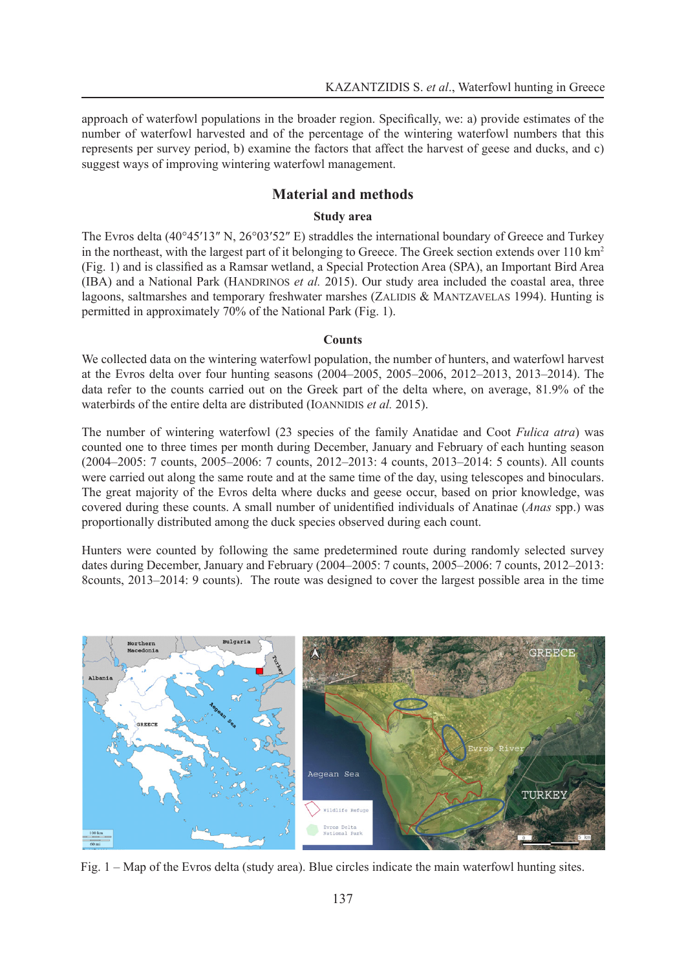approach of waterfowl populations in the broader region. Specifically, we: a) provide estimates of the number of waterfowl harvested and of the percentage of the wintering waterfowl numbers that this represents per survey period, b) examine the factors that affect the harvest of geese and ducks, and c) suggest ways of improving wintering waterfowl management.

## **Material and methods**

#### **Study area**

The Evros delta (40°45′13″ N, 26°03′52″ E) straddles the international boundary of Greece and Turkey in the northeast, with the largest part of it belonging to Greece. The Greek section extends over  $110 \text{ km}^2$ (Fig. 1) and is classified as a Ramsar wetland, a Special Protection Area (SPA), an Important Bird Area (IBA) and a National Park (HANDRINOS *et al.* 2015). Our study area included the coastal area, three lagoons, saltmarshes and temporary freshwater marshes (ZALIDIS  $&$  MANTZAVELAS 1994). Hunting is permitted in approximately 70% of the National Park (Fig. 1).

#### **Counts**

We collected data on the wintering waterfowl population, the number of hunters, and waterfowl harvest at the Evros delta over four hunting seasons (2004–2005, 2005–2006, 2012–2013, 2013–2014). The data refer to the counts carried out on the Greek part of the delta where, on average, 81.9% of the waterbirds of the entire delta are distributed (IOANNIDIS *et al.* 2015).

The number of wintering waterfowl (23 species of the family Anatidae and Coot *Fulica atra*) was counted one to three times per month during December, January and February of each hunting season (2004–2005: 7 counts, 2005–2006: 7 counts, 2012–2013: 4 counts, 2013–2014: 5 counts). All counts were carried out along the same route and at the same time of the day, using telescopes and binoculars. The great majority of the Evros delta where ducks and geese occur, based on prior knowledge, was covered during these counts. A small number of unidentified individuals of Anatinae (*Anas* spp.) was proportionally distributed among the duck species observed during each count.

Hunters were counted by following the same predetermined route during randomly selected survey dates during December, January and February (2004–2005: 7 counts, 2005–2006: 7 counts, 2012–2013: 8counts, 2013–2014: 9 counts). The route was designed to cover the largest possible area in the time



Fig. 1 – Map of the Evros delta (study area). Blue circles indicate the main waterfowl hunting sites.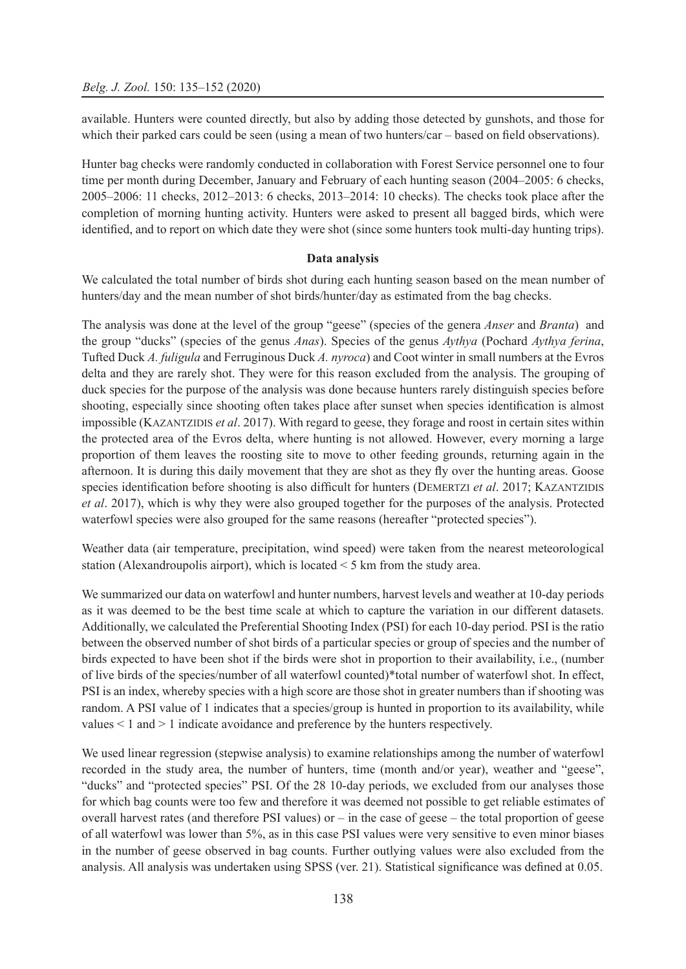available. Hunters were counted directly, but also by adding those detected by gunshots, and those for which their parked cars could be seen (using a mean of two hunters/car – based on field observations).

Hunter bag checks were randomly conducted in collaboration with Forest Service personnel one to four time per month during December, January and February of each hunting season (2004–2005: 6 checks, 2005–2006: 11 checks, 2012–2013: 6 checks, 2013–2014: 10 checks). The checks took place after the completion of morning hunting activity. Hunters were asked to present all bagged birds, which were identified, and to report on which date they were shot (since some hunters took multi-day hunting trips).

## **Data analysis**

We calculated the total number of birds shot during each hunting season based on the mean number of hunters/day and the mean number of shot birds/hunter/day as estimated from the bag checks.

The analysis was done at the level of the group "geese" (species of the genera *Anser* and *Branta*) and the group "ducks" (species of the genus *Anas*). Species of the genus *Aythya* (Pochard *Aythya ferina*, Tufted Duck *A. fuligula* and Ferruginous Duck *A. nyroca*) and Coot winter in small numbers at the Evros delta and they are rarely shot. They were for this reason excluded from the analysis. The grouping of duck species for the purpose of the analysis was done because hunters rarely distinguish species before shooting, especially since shooting often takes place after sunset when species identification is almost impossible (KAZANTZIDIS *et al.* 2017). With regard to geese, they forage and roost in certain sites within the protected area of the Evros delta, where hunting is not allowed. However, every morning a large proportion of them leaves the roosting site to move to other feeding grounds, returning again in the afternoon. It is during this daily movement that they are shot as they fly over the hunting areas. Goose species identification before shooting is also difficult for hunters (DEMERTZI *et al.* 2017; KAZANTZIDIS *et al*. 2017), which is why they were also grouped together for the purposes of the analysis. Protected waterfowl species were also grouped for the same reasons (hereafter "protected species").

Weather data (air temperature, precipitation, wind speed) were taken from the nearest meteorological station (Alexandroupolis airport), which is located < 5 km from the study area.

We summarized our data on waterfowl and hunter numbers, harvest levels and weather at 10-day periods as it was deemed to be the best time scale at which to capture the variation in our different datasets. Additionally, we calculated the Preferential Shooting Index (PSI) for each 10-day period. PSI is the ratio between the observed number of shot birds of a particular species or group of species and the number of birds expected to have been shot if the birds were shot in proportion to their availability, i.e., (number of live birds of the species/number of all waterfowl counted)\*total number of waterfowl shot. In effect, PSI is an index, whereby species with a high score are those shot in greater numbers than if shooting was random. A PSI value of 1 indicates that a species/group is hunted in proportion to its availability, while values < 1 and > 1 indicate avoidance and preference by the hunters respectively.

We used linear regression (stepwise analysis) to examine relationships among the number of waterfowl recorded in the study area, the number of hunters, time (month and/or year), weather and "geese", "ducks" and "protected species" PSI. Of the 28 10-day periods, we excluded from our analyses those for which bag counts were too few and therefore it was deemed not possible to get reliable estimates of overall harvest rates (and therefore PSI values) or  $-$  in the case of geese  $-$  the total proportion of geese of all waterfowl was lower than 5%, as in this case PSI values were very sensitive to even minor biases in the number of geese observed in bag counts. Further outlying values were also excluded from the analysis. All analysis was undertaken using SPSS (ver. 21). Statistical significance was defined at 0.05.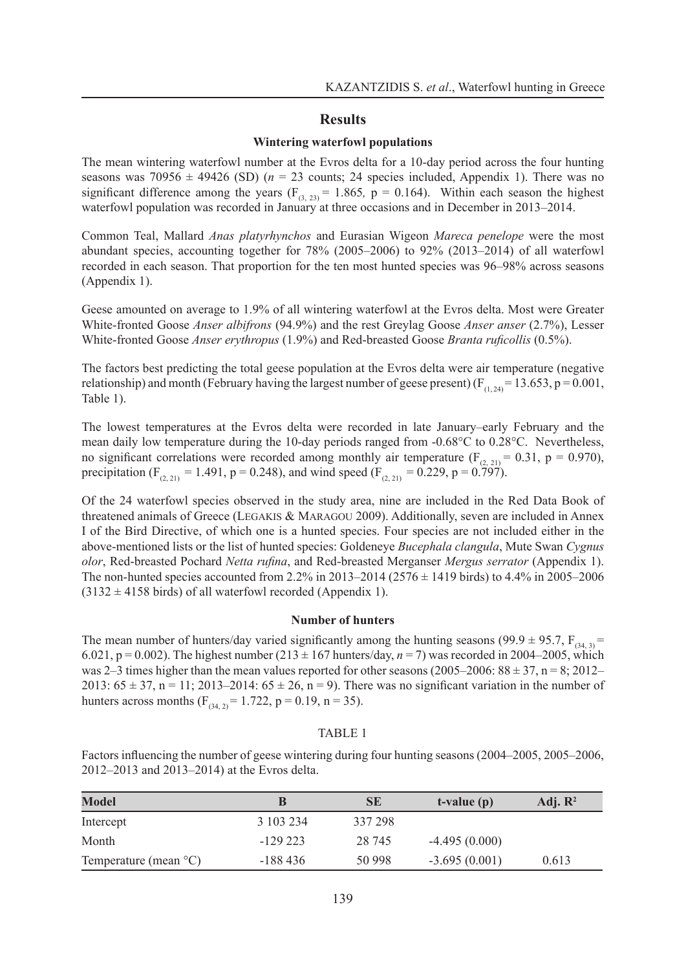## **Results**

#### **Wintering waterfowl populations**

The mean wintering waterfowl number at the Evros delta for a 10-day period across the four hunting seasons was 70956  $\pm$  49426 (SD) ( $n = 23$  counts; 24 species included, Appendix 1). There was no significant difference among the years ( $F<sub>(3, 23)</sub> = 1.865$ ,  $p = 0.164$ ). Within each season the highest waterfowl population was recorded in January at three occasions and in December in 2013–2014.

Common Teal, Mallard *Anas platyrhynchos* and Eurasian Wigeon *Mareca penelope* were the most abundant species, accounting together for 78% (2005–2006) to 92% (2013–2014) of all waterfowl recorded in each season. That proportion for the ten most hunted species was 96–98% across seasons (Appendix 1).

Geese amounted on average to 1.9% of all wintering waterfowl at the Evros delta. Most were Greater White-fronted Goose *Anser albifrons* (94.9%) and the rest Greylag Goose *Anser anser* (2.7%), Lesser White-fronted Goose *Anser erythropus* (1.9%) and Red-breasted Goose *Branta ruficollis* (0.5%).

The factors best predicting the total geese population at the Evros delta were air temperature (negative relationship) and month (February having the largest number of geese present) ( $F_{(1, 24)} = 13.653$ , p = 0.001, Table 1).

The lowest temperatures at the Evros delta were recorded in late January–early February and the mean daily low temperature during the 10-day periods ranged from -0.68°C to 0.28°C. Nevertheless, no significant correlations were recorded among monthly air temperature ( $F_{(2, 21)} = 0.31$ , p = 0.970), precipitation (F<sub>(2, 21)</sub> = 1.491, p = 0.248), and wind speed (F<sub>(2, 21)</sub> = 0.229, p = 0.797).

Of the 24 waterfowl species observed in the study area, nine are included in the Red Data Book of threatened animals of Greece (Legakis & Maragou 2009). Additionally, seven are included in Annex I of the Bird Directive, of which one is a hunted species. Four species are not included either in the above-mentioned lists or the list of hunted species: Goldeneye *Bucephala clangula*, Mute Swan *Cygnus olor*, Red-breasted Pochard *Netta rufina*, and Red-breasted Merganser *Mergus serrator* (Appendix 1). The non-hunted species accounted from 2.2% in 2013–2014 (2576  $\pm$  1419 birds) to 4.4% in 2005–2006  $(3132 \pm 4158 \text{ birds})$  of all waterfowl recorded (Appendix 1).

#### **Number of hunters**

The mean number of hunters/day varied significantly among the hunting seasons (99.9  $\pm$  95.7, F<sub>(34, 3)</sub> = 6.021,  $p = 0.002$ ). The highest number (213  $\pm$  167 hunters/day,  $n = 7$ ) was recorded in 2004–2005, which was 2–3 times higher than the mean values reported for other seasons (2005–2006:  $88 \pm 37$ , n = 8; 2012– 2013:  $65 \pm 37$ , n = 11; 2013–2014:  $65 \pm 26$ , n = 9). There was no significant variation in the number of hunters across months ( $F_{(34, 2)} = 1.722$ ,  $p = 0.19$ ,  $n = 35$ ).

#### TABLE 1

Factors influencing the number of geese wintering during four hunting seasons (2004–2005, 2005–2006, 2012–2013 and 2013–2014) at the Evros delta.

| <b>Model</b>                    |           | SЕ      | t-value (p)     | Adj. $\mathbb{R}^2$ |
|---------------------------------|-----------|---------|-----------------|---------------------|
| Intercept                       | 3 103 234 | 337 298 |                 |                     |
| Month                           | $-129223$ | 28 745  | $-4.495(0.000)$ |                     |
| Temperature (mean $^{\circ}$ C) | $-188436$ | 50 998  | $-3.695(0.001)$ | 0.613               |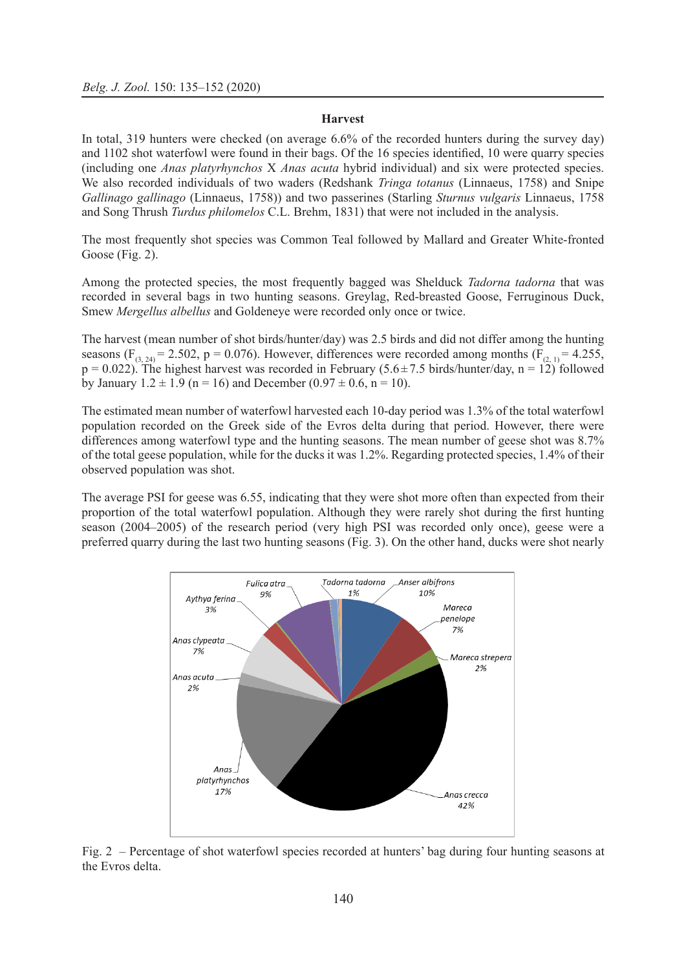#### **Harvest**

In total, 319 hunters were checked (on average 6.6% of the recorded hunters during the survey day) and 1102 shot waterfowl were found in their bags. Of the 16 species identified, 10 were quarry species (including one *Anas platyrhynchos* X *Anas acuta* hybrid individual) and six were protected species. We also recorded individuals of two waders (Redshank *Tringa totanus* (Linnaeus, 1758) and Snipe *Gallinago gallinago* (Linnaeus, 1758)) and two passerines (Starling *Sturnus vulgaris* Linnaeus, 1758 and Song Thrush *Turdus philomelos* C.L. Brehm, 1831) that were not included in the analysis.

The most frequently shot species was Common Teal followed by Mallard and Greater White-fronted Goose (Fig. 2).

Among the protected species, the most frequently bagged was Shelduck *Tadorna tadorna* that was recorded in several bags in two hunting seasons. Greylag, Red-breasted Goose, Ferruginous Duck, Smew *Mergellus albellus* and Goldeneye were recorded only once or twice.

The harvest (mean number of shot birds/hunter/day) was 2.5 birds and did not differ among the hunting seasons (F<sub>(3, 24)</sub> = 2.502, p = 0.076). However, differences were recorded among months (F<sub>(2, 1)</sub> = 4.255,  $p = 0.022$ ). The highest harvest was recorded in February (5.6 $\pm$ 7.5 birds/hunter/day, n = 12) followed by January  $1.2 \pm 1.9$  (n = 16) and December (0.97  $\pm$  0.6, n = 10).

The estimated mean number of waterfowl harvested each 10-day period was 1.3% of the total waterfowl population recorded on the Greek side of the Evros delta during that period. However, there were differences among waterfowl type and the hunting seasons. The mean number of geese shot was 8.7% of the total geese population, while for the ducks it was 1.2%. Regarding protected species, 1.4% of their observed population was shot.

The average PSI for geese was 6.55, indicating that they were shot more often than expected from their proportion of the total waterfowl population. Although they were rarely shot during the first hunting season (2004–2005) of the research period (very high PSI was recorded only once), geese were a preferred quarry during the last two hunting seasons (Fig. 3). On the other hand, ducks were shot nearly



Fig. 2 – Percentage of shot waterfowl species recorded at hunters' bag during four hunting seasons at the Evros delta.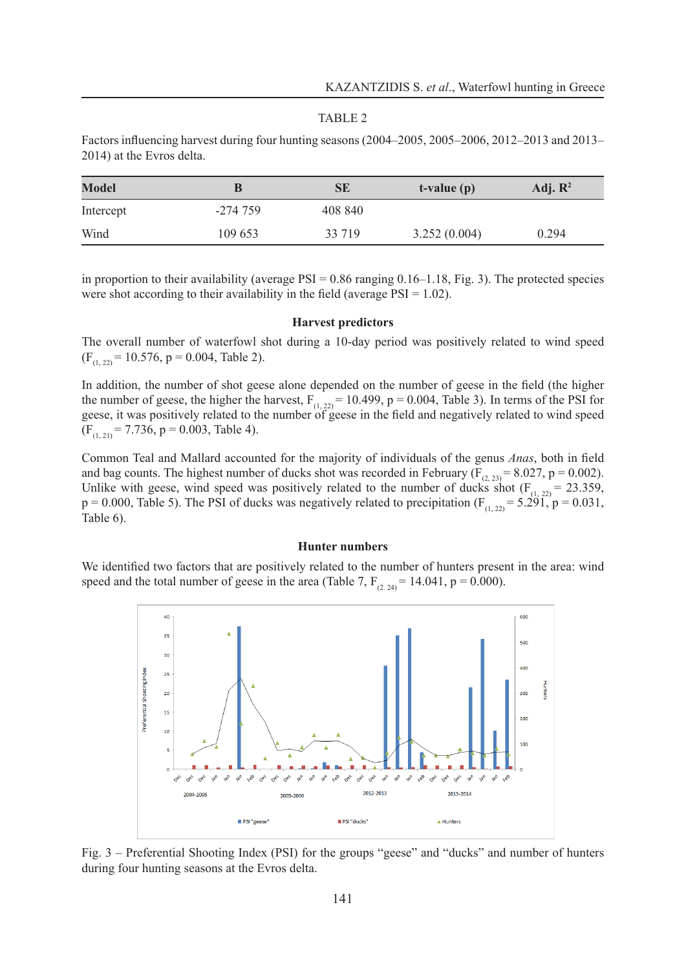#### TABLE 2

Factors influencing harvest during four hunting seasons (2004–2005, 2005–2006, 2012–2013 and 2013– 2014) at the Evros delta.

| <b>Model</b> | B         | SE      | $t$ -value $(p)$ | Adj. $\mathbb{R}^2$ |
|--------------|-----------|---------|------------------|---------------------|
| Intercept    | $-274759$ | 408 840 |                  |                     |
| Wind         | 109 653   | 33 719  | 3.252(0.004)     | 0.294               |

in proportion to their availability (average  $PSI = 0.86$  ranging  $0.16-1.18$ , Fig. 3). The protected species were shot according to their availability in the field (average  $PSI = 1.02$ ).

#### **Harvest predictors**

The overall number of waterfowl shot during a 10-day period was positively related to wind speed  $(F_{(1, 2)} = 10.576, p = 0.004,$  Table 2).

In addition, the number of shot geese alone depended on the number of geese in the field (the higher the number of geese, the higher the harvest,  $F_{(1, 22)} = 10.499$ , p = 0.004, Table 3). In terms of the PSI for geese, it was positively related to the number of geese in the field and negatively related to wind speed  $(F<sub>(1, 21)</sub> = 7.736, p = 0.003, Table 4).$ 

Common Teal and Mallard accounted for the majority of individuals of the genus *Anas*, both in field and bag counts. The highest number of ducks shot was recorded in February ( $F_{(2, 23)} = 8.027$ , p = 0.002). Unlike with geese, wind speed was positively related to the number of ducks shot  $(F<sub>(1, 22)</sub> = 23.359)$ ,  $p = 0.000$ , Table 5). The PSI of ducks was negatively related to precipitation ( $F_{(1, 22)} = 5.291$ ,  $p = 0.031$ , Table 6).

#### **Hunter numbers**

We identified two factors that are positively related to the number of hunters present in the area: wind speed and the total number of geese in the area (Table 7,  $F_{(2, 24)} = 14.041$ , p = 0.000).



Fig. 3 – Preferential Shooting Index (PSI) for the groups "geese" and "ducks" and number of hunters during four hunting seasons at the Evros delta.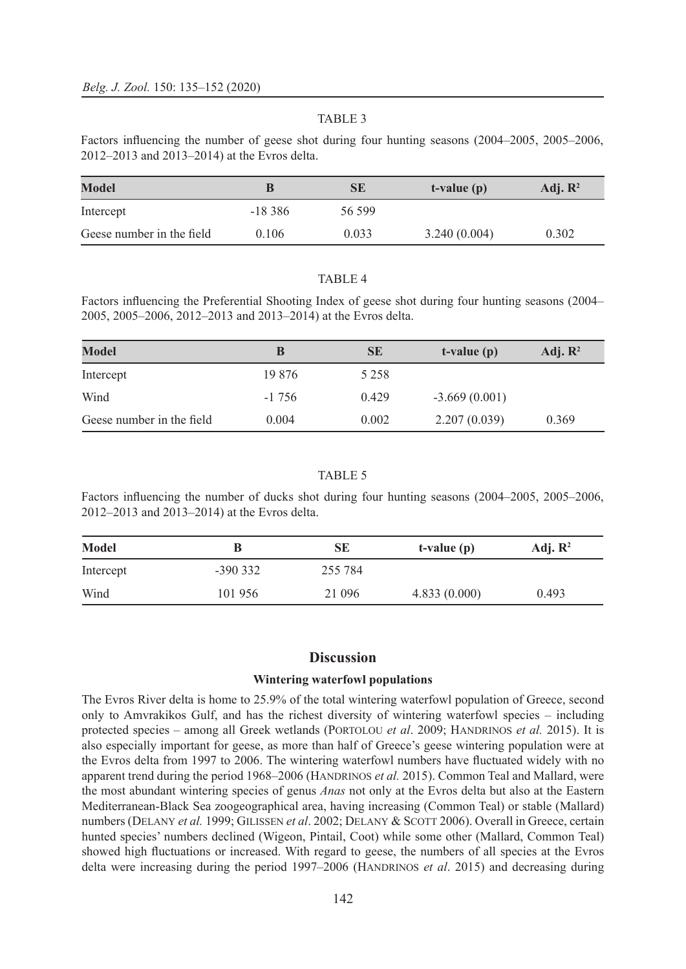#### TABLE 3

Factors influencing the number of geese shot during four hunting seasons (2004–2005, 2005–2006, 2012–2013 and 2013–2014) at the Evros delta.

| Model                     |           | SE     | $t-value(p)$ | Adj. $\mathbb{R}^2$ |
|---------------------------|-----------|--------|--------------|---------------------|
| Intercept                 | $-18,386$ | 56 599 |              |                     |
| Geese number in the field | 0.106     | 0.033  | 3.240(0.004) | 0.302               |

#### TABLE 4

Factors influencing the Preferential Shooting Index of geese shot during four hunting seasons (2004– 2005, 2005–2006, 2012–2013 and 2013–2014) at the Evros delta.

| <b>Model</b>              | B       | SЕ      | $t-value(p)$    | Adj. $\mathbb{R}^2$ |
|---------------------------|---------|---------|-----------------|---------------------|
| Intercept                 | 19 876  | 5 2 5 8 |                 |                     |
| Wind                      | $-1756$ | 0.429   | $-3.669(0.001)$ |                     |
| Geese number in the field | 0.004   | 0.002   | 2.207(0.039)    | 0.369               |

#### TABLE 5

Factors influencing the number of ducks shot during four hunting seasons (2004–2005, 2005–2006, 2012–2013 and 2013–2014) at the Evros delta.

| <b>Model</b> | B         | SE      | t-value (p)  | Adj. $\mathbb{R}^2$ |
|--------------|-----------|---------|--------------|---------------------|
| Intercept    | $-390332$ | 255 784 |              |                     |
| Wind         | 101956    | 21 096  | 4.833(0.000) | 0.493               |

## **Discussion**

#### **Wintering waterfowl populations**

The Evros River delta is home to 25.9% of the total wintering waterfowl population of Greece, second only to Amvrakikos Gulf, and has the richest diversity of wintering waterfowl species – including protected species – among all Greek wetlands (PORTOLOU *et al.* 2009; HANDRINOS *et al.* 2015). It is also especially important for geese, as more than half of Greece's geese wintering population were at the Evros delta from 1997 to 2006. The wintering waterfowl numbers have fluctuated widely with no apparent trend during the period 1968–2006 (HANDRINOS *et al.* 2015). Common Teal and Mallard, were the most abundant wintering species of genus *Anas* not only at the Evros delta but also at the Eastern Mediterranean-Black Sea zoogeographical area, having increasing (Common Teal) or stable (Mallard) numbers (DELANY *et al.* 1999; GILISSEN *et al.* 2002; DELANY & SCOTT 2006). Overall in Greece, certain hunted species' numbers declined (Wigeon, Pintail, Coot) while some other (Mallard, Common Teal) showed high fluctuations or increased. With regard to geese, the numbers of all species at the Evros delta were increasing during the period 1997–2006 (HANDRINOS *et al.* 2015) and decreasing during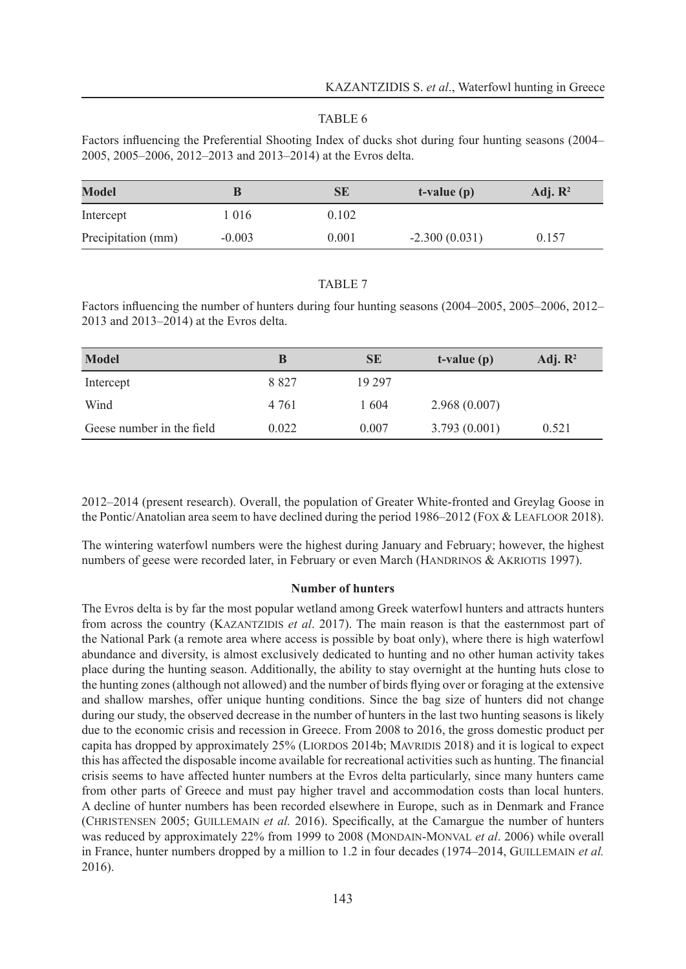#### TABLE 6

Factors influencing the Preferential Shooting Index of ducks shot during four hunting seasons (2004– 2005, 2005–2006, 2012–2013 and 2013–2014) at the Evros delta.

| <b>Model</b>       | B        | SE    | t-value (p)     | Adj. $\mathbb{R}^2$ |
|--------------------|----------|-------|-----------------|---------------------|
| Intercept          | 1016     | 0.102 |                 |                     |
| Precipitation (mm) | $-0.003$ | 0.001 | $-2.300(0.031)$ | 0.157               |

#### TABLE 7

Factors influencing the number of hunters during four hunting seasons (2004–2005, 2005–2006, 2012– 2013 and 2013–2014) at the Evros delta.

| Model                     | B       | <b>SE</b> | $t-value(p)$ | Adj. $\mathbb{R}^2$ |
|---------------------------|---------|-----------|--------------|---------------------|
| Intercept                 | 8827    | 19 297    |              |                     |
| Wind                      | 4 7 6 1 | 1 604     | 2.968(0.007) |                     |
| Geese number in the field | 0.022   | 0.007     | 3.793(0.001) | 0.521               |

2012–2014 (present research). Overall, the population of Greater White-fronted and Greylag Goose in the Pontic/Anatolian area seem to have declined during the period 1986–2012 (FOX & LEAFLOOR 2018).

The wintering waterfowl numbers were the highest during January and February; however, the highest numbers of geese were recorded later, in February or even March (HANDRINOS & AKRIOTIS 1997).

#### **Number of hunters**

The Evros delta is by far the most popular wetland among Greek waterfowl hunters and attracts hunters from across the country (KAZANTZIDIS *et al.* 2017). The main reason is that the easternmost part of the National Park (a remote area where access is possible by boat only), where there is high waterfowl abundance and diversity, is almost exclusively dedicated to hunting and no other human activity takes place during the hunting season. Additionally, the ability to stay overnight at the hunting huts close to the hunting zones (although not allowed) and the number of birds flying over or foraging at the extensive and shallow marshes, offer unique hunting conditions. Since the bag size of hunters did not change during our study, the observed decrease in the number of hunters in the last two hunting seasons is likely due to the economic crisis and recession in Greece. From 2008 to 2016, the gross domestic product per capita has dropped by approximately 25% (LIORDOS 2014b; MAVRIDIS 2018) and it is logical to expect this has affected the disposable income available for recreational activities such as hunting. The financial crisis seems to have affected hunter numbers at the Evros delta particularly, since many hunters came from other parts of Greece and must pay higher travel and accommodation costs than local hunters. A decline of hunter numbers has been recorded elsewhere in Europe, such as in Denmark and France (Christensen 2005; Guillemain *et al.* 2016). Specifically, at the Camargue the number of hunters was reduced by approximately 22% from 1999 to 2008 (MONDAIN-MONVAL *et al.* 2006) while overall in France, hunter numbers dropped by a million to 1.2 in four decades (1974–2014, GUILLEMAIN *et al.*) 2016).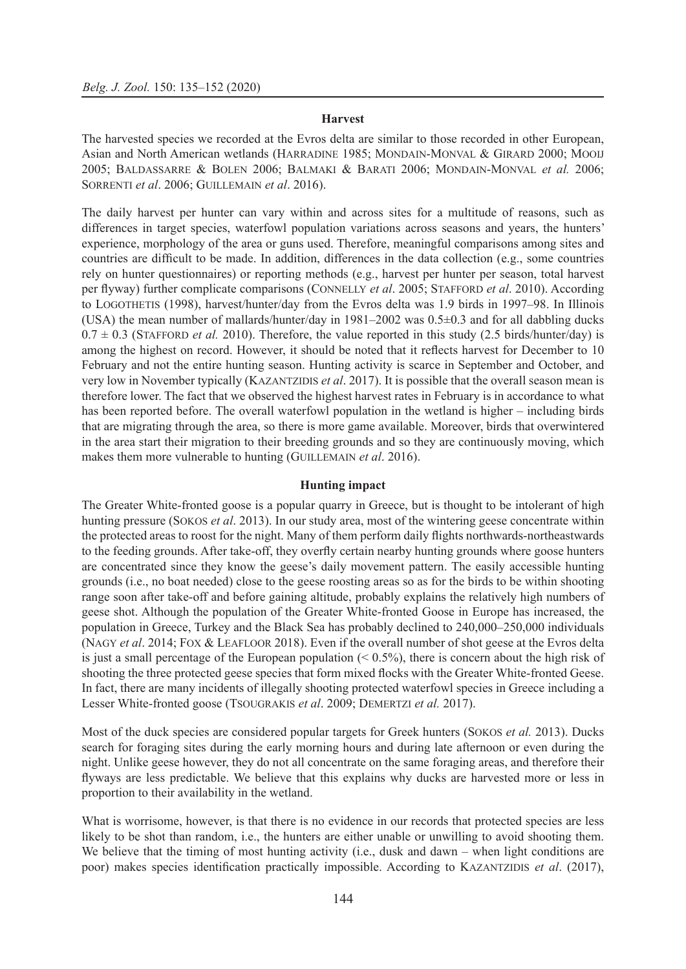#### **Harvest**

The harvested species we recorded at the Evros delta are similar to those recorded in other European, Asian and North American wetlands (HARRADINE 1985; MONDAIN-MONVAL & GIRARD 2000; MOOIJ 2005; Baldassarre & Bolen 2006; Balmaki & Barati 2006; Mondain-Monval *et al.* 2006; Sorrenti *et al*. 2006; Guillemain *et al*. 2016).

The daily harvest per hunter can vary within and across sites for a multitude of reasons, such as differences in target species, waterfowl population variations across seasons and years, the hunters' experience, morphology of the area or guns used. Therefore, meaningful comparisons among sites and countries are difficult to be made. In addition, differences in the data collection (e.g., some countries rely on hunter questionnaires) or reporting methods (e.g., harvest per hunter per season, total harvest per flyway) further complicate comparisons (Connelly *et al*. 2005; Stafford *et al*. 2010). According to Logothetis (1998), harvest/hunter/day from the Evros delta was 1.9 birds in 1997–98. In Illinois (USA) the mean number of mallards/hunter/day in  $1981-2002$  was  $0.5\pm0.3$  and for all dabbling ducks  $0.7 \pm 0.3$  (STAFFORD *et al.* 2010). Therefore, the value reported in this study (2.5 birds/hunter/day) is among the highest on record. However, it should be noted that it reflects harvest for December to 10 February and not the entire hunting season. Hunting activity is scarce in September and October, and very low in November typically (KAZANTZIDIS *et al.* 2017). It is possible that the overall season mean is therefore lower. The fact that we observed the highest harvest rates in February is in accordance to what has been reported before. The overall waterfowl population in the wetland is higher – including birds that are migrating through the area, so there is more game available. Moreover, birds that overwintered in the area start their migration to their breeding grounds and so they are continuously moving, which makes them more vulnerable to hunting (GUILLEMAIN *et al.* 2016).

#### **Hunting impact**

The Greater White-fronted goose is a popular quarry in Greece, but is thought to be intolerant of high hunting pressure (Sokos *et al*. 2013). In our study area, most of the wintering geese concentrate within the protected areas to roost for the night. Many of them perform daily flights northwards-northeastwards to the feeding grounds. After take-off, they overfly certain nearby hunting grounds where goose hunters are concentrated since they know the geese's daily movement pattern. The easily accessible hunting grounds (i.e., no boat needed) close to the geese roosting areas so as for the birds to be within shooting range soon after take-off and before gaining altitude, probably explains the relatively high numbers of geese shot. Although the population of the Greater White-fronted Goose in Europe has increased, the population in Greece, Turkey and the Black Sea has probably declined to 240,000–250,000 individuals (NAGY *et al.* 2014; FOX & LEAFLOOR 2018). Even if the overall number of shot geese at the Evros delta is just a small percentage of the European population  $(0.5\%)$ , there is concern about the high risk of shooting the three protected geese species that form mixed flocks with the Greater White-fronted Geese. In fact, there are many incidents of illegally shooting protected waterfowl species in Greece including a Lesser White-fronted goose (Tsougrakis *et al*. 2009; Demertzi *et al.* 2017).

Most of the duck species are considered popular targets for Greek hunters (Sokos *et al.* 2013). Ducks search for foraging sites during the early morning hours and during late afternoon or even during the night. Unlike geese however, they do not all concentrate on the same foraging areas, and therefore their flyways are less predictable. We believe that this explains why ducks are harvested more or less in proportion to their availability in the wetland.

What is worrisome, however, is that there is no evidence in our records that protected species are less likely to be shot than random, i.e., the hunters are either unable or unwilling to avoid shooting them. We believe that the timing of most hunting activity (i.e., dusk and dawn – when light conditions are poor) makes species identification practically impossible. According to KAZANTZIDIS *et al.* (2017),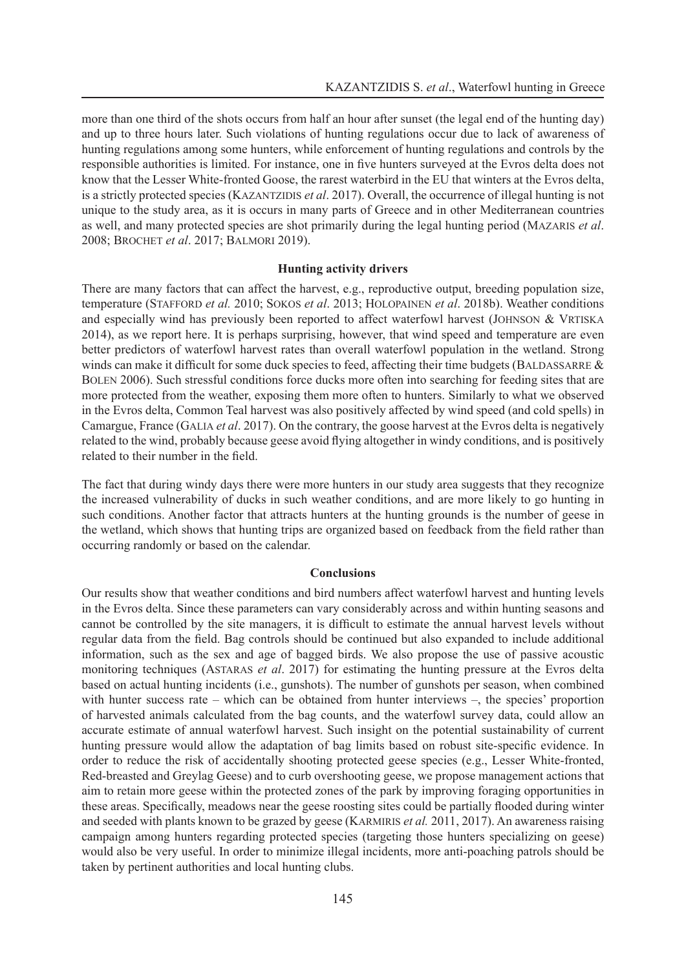more than one third of the shots occurs from half an hour after sunset (the legal end of the hunting day) and up to three hours later. Such violations of hunting regulations occur due to lack of awareness of hunting regulations among some hunters, while enforcement of hunting regulations and controls by the responsible authorities is limited. For instance, one in five hunters surveyed at the Evros delta does not know that the Lesser White-fronted Goose, the rarest waterbird in the EU that winters at the Evros delta, is a strictly protected species (KAZANTZIDIS *et al.* 2017). Overall, the occurrence of illegal hunting is not unique to the study area, as it is occurs in many parts of Greece and in other Mediterranean countries as well, and many protected species are shot primarily during the legal hunting period (Mazaris *et al*. 2008; Brochet *et al*. 2017; Balmori 2019).

#### **Hunting activity drivers**

There are many factors that can affect the harvest, e.g., reproductive output, breeding population size, temperature (STAFFORD *et al.* 2010; SOKOS *et al.* 2013; HOLOPAINEN *et al.* 2018b). Weather conditions and especially wind has previously been reported to affect waterfowl harvest (JOHNSON  $&$  VRTISKA 2014), as we report here. It is perhaps surprising, however, that wind speed and temperature are even better predictors of waterfowl harvest rates than overall waterfowl population in the wetland. Strong winds can make it difficult for some duck species to feed, affecting their time budgets (BALDASSARRE  $\&$ Bolen 2006). Such stressful conditions force ducks more often into searching for feeding sites that are more protected from the weather, exposing them more often to hunters. Similarly to what we observed in the Evros delta, Common Teal harvest was also positively affected by wind speed (and cold spells) in Camargue, France (Galia *et al*. 2017). On the contrary, the goose harvest at the Evros delta is negatively related to the wind, probably because geese avoid flying altogether in windy conditions, and is positively related to their number in the field.

The fact that during windy days there were more hunters in our study area suggests that they recognize the increased vulnerability of ducks in such weather conditions, and are more likely to go hunting in such conditions. Another factor that attracts hunters at the hunting grounds is the number of geese in the wetland, which shows that hunting trips are organized based on feedback from the field rather than occurring randomly or based on the calendar.

## **Conclusions**

Our results show that weather conditions and bird numbers affect waterfowl harvest and hunting levels in the Evros delta. Since these parameters can vary considerably across and within hunting seasons and cannot be controlled by the site managers, it is difficult to estimate the annual harvest levels without regular data from the field. Bag controls should be continued but also expanded to include additional information, such as the sex and age of bagged birds. We also propose the use of passive acoustic monitoring techniques (Astaras *et al*. 2017) for estimating the hunting pressure at the Evros delta based on actual hunting incidents (i.e., gunshots). The number of gunshots per season, when combined with hunter success rate – which can be obtained from hunter interviews –, the species' proportion of harvested animals calculated from the bag counts, and the waterfowl survey data, could allow an accurate estimate of annual waterfowl harvest. Such insight on the potential sustainability of current hunting pressure would allow the adaptation of bag limits based on robust site-specific evidence. In order to reduce the risk of accidentally shooting protected geese species (e.g., Lesser White-fronted, Red-breasted and Greylag Geese) and to curb overshooting geese, we propose management actions that aim to retain more geese within the protected zones of the park by improving foraging opportunities in these areas. Specifically, meadows near the geese roosting sites could be partially flooded during winter and seeded with plants known to be grazed by geese (KARMIRIS *et al.* 2011, 2017). An awareness raising campaign among hunters regarding protected species (targeting those hunters specializing on geese) would also be very useful. In order to minimize illegal incidents, more anti-poaching patrols should be taken by pertinent authorities and local hunting clubs.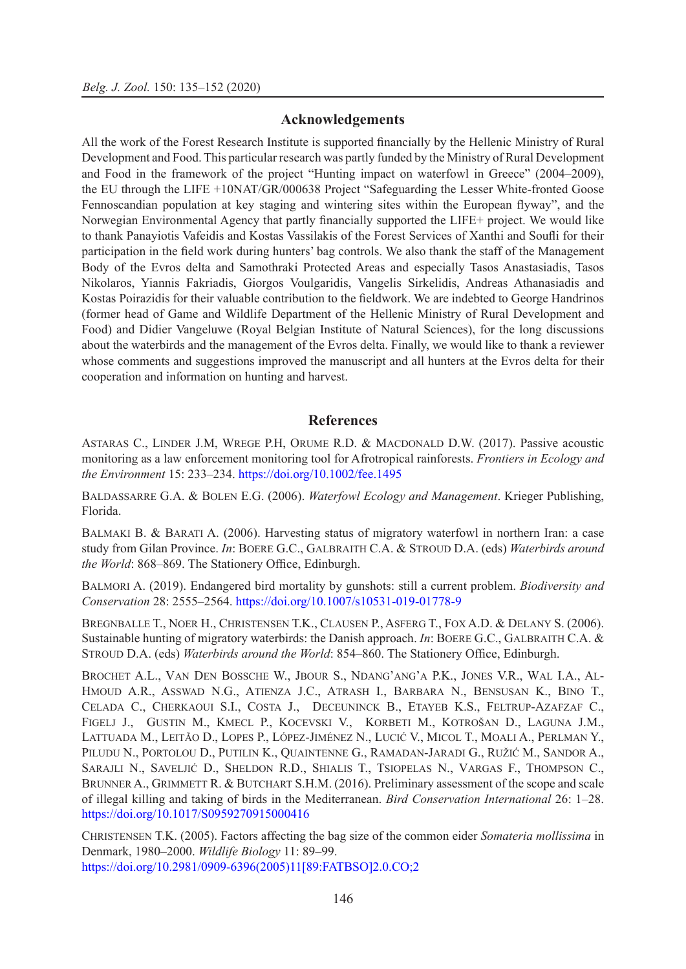## **Acknowledgements**

All the work of the Forest Research Institute is supported financially by the Hellenic Ministry of Rural Development and Food. This particular research was partly funded by the Ministry of Rural Development and Food in the framework of the project "Hunting impact on waterfowl in Greece" (2004–2009), the EU through the LIFE +10NAT/GR/000638 Project "Safeguarding the Lesser White-fronted Goose Fennoscandian population at key staging and wintering sites within the European flyway", and the Norwegian Environmental Agency that partly financially supported the LIFE+ project. We would like to thank Panayiotis Vafeidis and Kostas Vassilakis of the Forest Services of Xanthi and Soufli for their participation in the field work during hunters' bag controls. We also thank the staff of the Management Body of the Evros delta and Samothraki Protected Areas and especially Tasos Anastasiadis, Tasos Nikolaros, Yiannis Fakriadis, Giorgos Voulgaridis, Vangelis Sirkelidis, Andreas Athanasiadis and Kostas Poirazidis for their valuable contribution to the fieldwork. We are indebted to George Handrinos (former head of Game and Wildlife Department of the Hellenic Ministry of Rural Development and Food) and Didier Vangeluwe (Royal Belgian Institute of Natural Sciences), for the long discussions about the waterbirds and the management of the Evros delta. Finally, we would like to thank a reviewer whose comments and suggestions improved the manuscript and all hunters at the Evros delta for their cooperation and information on hunting and harvest.

## **References**

Astaras C., Linder J.M, Wrege P.H, Orume R.D. & Macdonald D.W. (2017). Passive acoustic monitoring as a law enforcement monitoring tool for Afrotropical rainforests. *Frontiers in Ecology and the Environment* 15: 233–234.<https://doi.org/10.1002/fee.1495>

Baldassarre G.A. & Bolen E.G. (2006). *Waterfowl Ecology and Management*. Krieger Publishing, Florida.

Balmaki B. & Barati A. (2006). Harvesting status of migratory waterfowl in northern Iran: a case study from Gilan Province. *In*: BOERE G.C., GALBRAITH C.A. & STROUD D.A. (eds) Waterbirds around *the World*: 868–869. The Stationery Office, Edinburgh.

Balmori A. (2019). Endangered bird mortality by gunshots: still a current problem. *Biodiversity and Conservation* 28: 2555–2564. <https://doi.org/10.1007/s10531-019-01778-9>

Bregnballe T., Noer H., Christensen T.K., Clausen P., Asferg T., Fox A.D. & Delany S. (2006). Sustainable hunting of migratory waterbirds: the Danish approach. *In*: Boere G.C., Galbraith C.A. & Stroud D.A. (eds) *Waterbirds around the World*: 854–860. The Stationery Office, Edinburgh.

Brochet A.L., Van Den Bossche W., Jbour S., Ndang'ang'a P.K., Jones V.R., Wal I.A., Al-Hmoud A.R., Asswad N.G., Atienza J.C., Atrash I., Barbara N., Bensusan K., Bino T., Celada C., Cherkaoui S.I., Costa J., Deceuninck B., Etayeb K.S., Feltrup-Azafzaf C., Figelj J., Gustin M., Kmecl P., Kocevski V., Korbeti M., Kotrošan D., Laguna J.M., Lattuada M., Leitão D., Lopes P., López-Jiménez N., Lucić V., Micol T., Moali A., Perlman Y., Piludu N., Portolou D., Putilin K., Quaintenne G., Ramadan-Jaradi G., Ružić M., Sandor A., Sarajli N., Saveljić D., Sheldon R.D., Shialis T., Tsiopelas N., Vargas F., Thompson C., BRUNNER A., GRIMMETT R. & BUTCHART S.H.M. (2016). Preliminary assessment of the scope and scale of illegal killing and taking of birds in the Mediterranean. *Bird Conservation International* 26: 1–28. <https://doi.org/10.1017/S0959270915000416>

Christensen T.K. (2005). Factors affecting the bag size of the common eider *Somateria mollissima* in Denmark, 1980–2000. *Wildlife Biology* 11: 89–99. [https://doi.org/10.2981/0909-6396\(2005\)11\[89:FATBSO\]2.0.CO;2](https://doi.org/10.2981/0909-6396(2005)11[89:FATBSO]2.0.CO;2)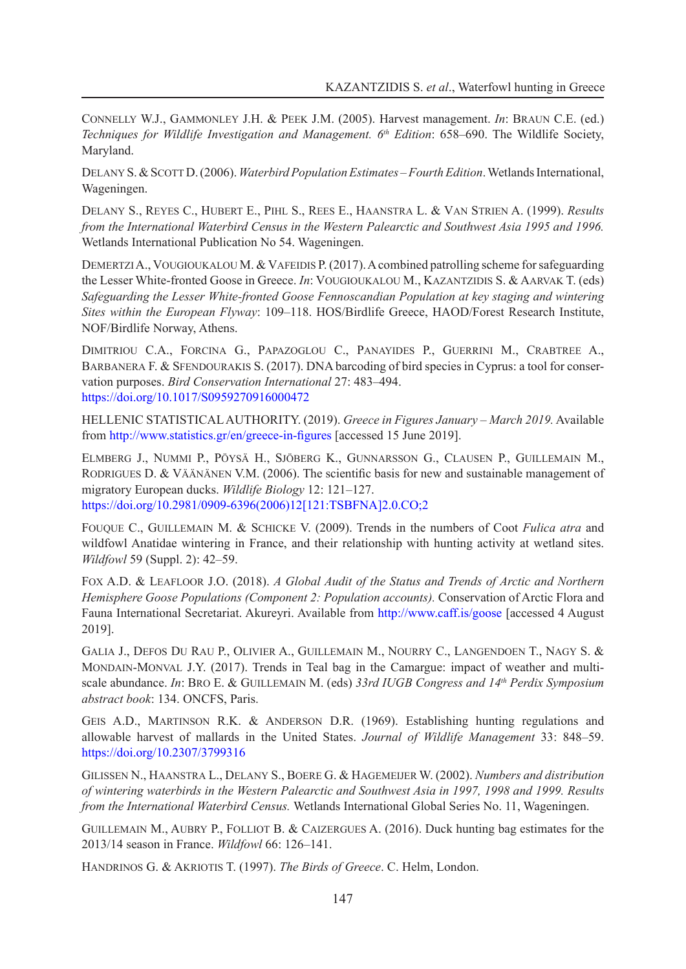Connelly W.J., Gammonley J.H. & Peek J.M. (2005). Harvest management. *In*: Braun C.E. (ed.) *Techniques for Wildlife Investigation and Management. 6th Edition*: 658–690. The Wildlife Society, Maryland.

Delany S. & Scott D. (2006). *Waterbird Population Estimates – Fourth Edition*. Wetlands International, Wageningen.

Delany S., Reyes C., Hubert E., Pihl S., Rees E., Haanstra L. & Van Strien A. (1999). *Results from the International Waterbird Census in the Western Palearctic and Southwest Asia 1995 and 1996.* Wetlands International Publication No 54. Wageningen.

DEMERTZIA., VOUGIOUKALOU M. & VAFEIDIS P. (2017). A combined patrolling scheme for safeguarding the Lesser White-fronted Goose in Greece. *In*: Vougioukalou M., Kazantzidis S. & Aarvak T. (eds) *Safeguarding the Lesser White-fronted Goose Fennoscandian Population at key staging and wintering Sites within the European Flyway*: 109–118. HOS/Birdlife Greece, HAOD/Forest Research Institute, NOF/Birdlife Norway, Athens.

Dimitriou C.A., Forcina G., Papazoglou C., Panayides P., Guerrini M., Crabtree A., BARBANERA F. & SFENDOURAKIS S. (2017). DNA barcoding of bird species in Cyprus: a tool for conservation purposes. *Bird Conservation International* 27: 483–494. <https://doi.org/10.1017/S0959270916000472>

HELLENIC STATISTICAL AUTHORITY. (2019). *Greece in Figures January – March 2019.* Available from <http://www.statistics.gr/en/greece-in-figures> [accessed 15 June 2019].

Elmberg J., Nummi P., Pöysä H., Sjöberg K., Gunnarsson G., Clausen P., Guillemain M., RODRIGUES D. & VÄÄNÄNEN V.M. (2006). The scientific basis for new and sustainable management of migratory European ducks. *Wildlife Biology* 12: 121–127. [https://doi.org/10.2981/0909-6396\(2006\)12\[121:TSBFNA\]2.0.CO;2](https://doi.org/10.2981/0909-6396(2006)12[121:TSBFNA]2.0.CO;2)

FOUQUE C., GUILLEMAIN M. & SCHICKE V. (2009). Trends in the numbers of Coot *Fulica atra* and wildfowl Anatidae wintering in France, and their relationship with hunting activity at wetland sites. *Wildfowl* 59 (Suppl. 2): 42–59.

Fox A.D. & Leafloor J.O. (2018). *A Global Audit of the Status and Trends of Arctic and Northern Hemisphere Goose Populations (Component 2: Population accounts).* Conservation of Arctic Flora and Fauna International Secretariat. Akureyri. Available from <http://www.caff.is/goose> [accessed 4 August 2019].

Galia J., Defos Du Rau P., Olivier A., Guillemain M., Nourry C., Langendoen T., Nagy S. & MONDAIN-MONVAL J.Y. (2017). Trends in Teal bag in the Camargue: impact of weather and multiscale abundance. *In*: Bro E. & Guillemain M. (eds) *33rd IUGB Congress and 14th Perdix Symposium abstract book*: 134. ONCFS, Paris.

Geis A.D., Martinson R.K. & Anderson D.R. (1969). Establishing hunting regulations and allowable harvest of mallards in the United States. *Journal of Wildlife Management* 33: 848–59. <https://doi.org/10.2307/3799316>

Gilissen N., Haanstra L., Delany S., Boere G. & Hagemeijer W. (2002). *Numbers and distribution of wintering waterbirds in the Western Palearctic and Southwest Asia in 1997, 1998 and 1999. Results from the International Waterbird Census.* Wetlands International Global Series No. 11, Wageningen.

Guillemain M., Aubry P., Folliot B. & Caizergues A. (2016). Duck hunting bag estimates for the 2013/14 season in France. *Wildfowl* 66: 126–141.

Handrinos G. & Akriotis T. (1997). *The Birds of Greece*. C. Helm, London.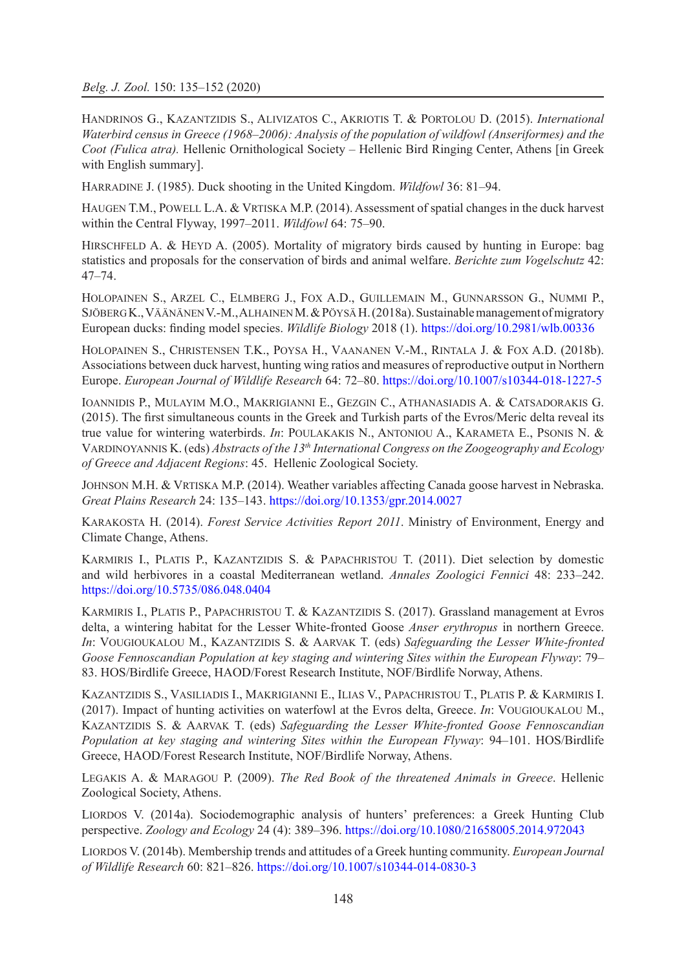Handrinos G., Kazantzidis S., Alivizatos C., Akriotis T. & Portolou D. (2015). *International Waterbird census in Greece (1968–2006): Analysis of the population of wildfowl (Anseriformes) and the Coot (Fulica atra).* Hellenic Ornithological Society – Hellenic Bird Ringing Center, Athens [in Greek with English summary].

Harradine J. (1985). Duck shooting in the United Kingdom. *Wildfowl* 36: 81–94.

HAUGEN T.M., POWELL L.A. & VRTISKA M.P. (2014). Assessment of spatial changes in the duck harvest within the Central Flyway, 1997–2011. *Wildfowl* 64: 75–90.

HIRSCHFELD A. & HEYD A. (2005). Mortality of migratory birds caused by hunting in Europe: bag statistics and proposals for the conservation of birds and animal welfare. *Berichte zum Vogelschutz* 42: 47–74.

Holopainen S., Arzel C., Elmberg J., Fox A.D., Guillemain M., Gunnarsson G., Nummi P., Sjöberg K., Väänänen V.-M., AlhainenM. & Pöysä H. (2018a). Sustainable management of migratory European ducks: finding model species. *Wildlife Biology* 2018 (1). <https://doi.org/10.2981/wlb.00336>

Holopainen S., Christensen T.K., Poysa H., Vaananen V.-M., Rintala J. & Fox A.D. (2018b). Associations between duck harvest, hunting wing ratios and measures of reproductive output in Northern Europe. *European Journal of Wildlife Research* 64: 72–80.<https://doi.org/10.1007/s10344-018-1227-5>

Ioannidis P., Mulayim M.O., Makrigianni E., Gezgin C., Athanasiadis A. & Catsadorakis G. (2015). The first simultaneous counts in the Greek and Turkish parts of the Evros/Meric delta reveal its true value for wintering waterbirds. *In*: Poulakakis N., Antoniou A., Karameta E., Psonis N. & Vardinoyannis K. (eds) *Abstracts of the 13th International Congress on the Zoogeography and Ecology of Greece and Adjacent Regions*: 45. Hellenic Zoological Society.

JOHNSON M.H. & VRTISKA M.P. (2014). Weather variables affecting Canada goose harvest in Nebraska. *Great Plains Research* 24: 135–143. <https://doi.org/10.1353/gpr.2014.0027>

Karakosta H. (2014). *Forest Service Activities Report 2011*. Ministry of Environment, Energy and Climate Change, Athens.

Karmiris I., Platis P., Kazantzidis S. & Papachristou T. (2011). Diet selection by domestic and wild herbivores in a coastal Mediterranean wetland. *Annales Zoologici Fennici* 48: 233–242. <https://doi.org/10.5735/086.048.0404>

Karmiris I., Platis P., Papachristou T. & Kazantzidis S. (2017). Grassland management at Evros delta, a wintering habitat for the Lesser White-fronted Goose *Anser erythropus* in northern Greece. *In*: VOUGIOUKALOU M., KAZANTZIDIS S. & AARVAK T. (eds) Safeguarding the Lesser White-fronted *Goose Fennoscandian Population at key staging and wintering Sites within the European Flyway*: 79– 83. HOS/Birdlife Greece, HAOD/Forest Research Institute, NOF/Birdlife Norway, Athens.

Kazantzidis S., Vasiliadis I., Makrigianni E., Ilias V., Papachristou T., Platis P. & Karmiris I. (2017). Impact of hunting activities on waterfowl at the Evros delta, Greece. *In*: Vougioukalou M., KAZANTZIDIS S. & AARVAK T. (eds) Safeguarding the Lesser White-fronted Goose Fennoscandian *Population at key staging and wintering Sites within the European Flyway*: 94–101. HOS/Birdlife Greece, HAOD/Forest Research Institute, NOF/Birdlife Norway, Athens.

Legakis A. & Maragou P. (2009). *The Red Book of the threatened Animals in Greece*. Hellenic Zoological Society, Athens.

LIORDOS V. (2014a). Sociodemographic analysis of hunters' preferences: a Greek Hunting Club perspective. *Zoology and Ecology* 24 (4): 389–396. <https://doi.org/10.1080/21658005.2014.972043>

Liordos V. (2014b). Membership trends and attitudes of a Greek hunting community. *European Journal of Wildlife Research* 60: 821–826.<https://doi.org/10.1007/s10344-014-0830-3>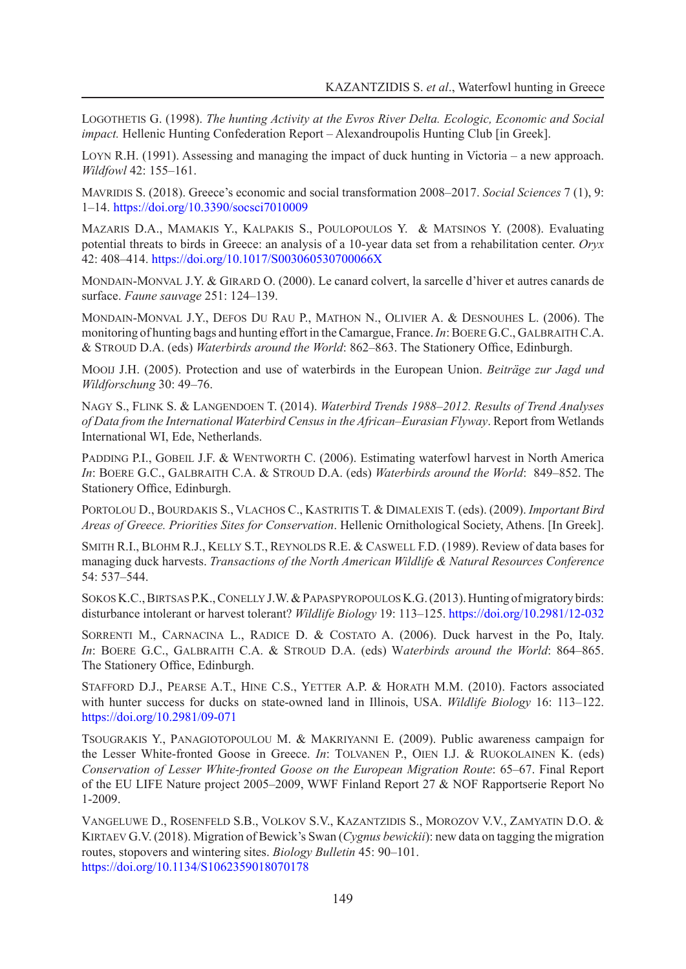Logothetis G. (1998). *The hunting Activity at the Evros River Delta. Ecologic, Economic and Social impact.* Hellenic Hunting Confederation Report – Alexandroupolis Hunting Club [in Greek].

Loyn R.H. (1991). Assessing and managing the impact of duck hunting in Victoria – a new approach. *Wildfowl* 42: 155–161.

Mavridis S. (2018). Greece's economic and social transformation 2008–2017. *Social Sciences* 7 (1), 9: 1–14.<https://doi.org/10.3390/socsci7010009>

Mazaris D.A., Mamakis Y., Kalpakis S., Poulopoulos Y. & Matsinos Y. (2008). Evaluating potential threats to birds in Greece: an analysis of a 10-year data set from a rehabilitation center. *Oryx* 42: 408–414. <https://doi.org/10.1017/S003060530700066X>

MONDAIN-MONVAL J.Y. & GIRARD O. (2000). Le canard colvert, la sarcelle d'hiver et autres canards de surface. *Faune sauvage* 251: 124–139.

Mondain-Monval J.Y., Defos Du Rau P., Mathon N., Olivier A. & Desnouhes L. (2006). The monitoring of hunting bags and hunting effort in the Camargue, France. *In*: BOERE G.C., GALBRAITH C.A. & Stroud D.A. (eds) *Waterbirds around the World*: 862–863. The Stationery Office, Edinburgh.

Mooij J.H. (2005). Protection and use of waterbirds in the European Union. *Beiträge zur Jagd und Wildforschung* 30: 49–76.

Nagy S., Flink S. & Langendoen T. (2014). *Waterbird Trends 1988–2012. Results of Trend Analyses of Data from the International Waterbird Census in the African–Eurasian Flyway*. Report from Wetlands International WI, Ede, Netherlands.

PADDING P.I., GOBEIL J.F. & WENTWORTH C. (2006). Estimating waterfowl harvest in North America *In*: BOERE G.C., GALBRAITH C.A. & STROUD D.A. (eds) *Waterbirds around the World*: 849–852. The Stationery Office, Edinburgh.

Portolou D., Bourdakis S., Vlachos C., Kastritis T. & Dimalexis T. (eds). (2009). *Important Bird Areas of Greece. Priorities Sites for Conservation*. Hellenic Ornithological Society, Athens. [In Greek].

Smith R.I., Blohm R.J., Kelly S.T., Reynolds R.E. & Caswell F.D. (1989). Review of data bases for managing duck harvests. *Transactions of the North American Wildlife & Natural Resources Conference* 54: 537–544.

Sokos K.C., Birtsas P.K., Conelly J.W. & Papaspyropoulos K.G. (2013). Hunting of migratory birds: disturbance intolerant or harvest tolerant? *Wildlife Biology* 19: 113–125. [https://doi.org/10.2981/12-032](https://doi.org/10.2981/12-032
)

SORRENTI M., CARNACINA L., RADICE D. & COSTATO A. (2006). Duck harvest in the Po, Italy. *In*: BOERE G.C., GALBRAITH C.A. & STROUD D.A. (eds) Waterbirds around the World: 864–865. The Stationery Office, Edinburgh.

STAFFORD D.J., PEARSE A.T., HINE C.S., YETTER A.P. & HORATH M.M. (2010). Factors associated with hunter success for ducks on state-owned land in Illinois, USA. *Wildlife Biology* 16: 113–122. <https://doi.org/10.2981/09-071>

Tsougrakis Y., Panagiotopoulou M. & Makriyanni E. (2009). Public awareness campaign for the Lesser White-fronted Goose in Greece. *In*: Tolvanen P., Oien I.J. & Ruokolainen K. (eds) *Conservation of Lesser White-fronted Goose on the European Migration Route*: 65–67. Final Report of the EU LIFE Nature project 2005–2009, WWF Finland Report 27 & NOF Rapportserie Report No 1-2009.

Vangeluwe D., Rosenfeld S.B., Volkov S.V., Kazantzidis S., Morozov V.V., Zamyatin D.O. & Kirtaev G.V. (2018). Migration of Bewick's Swan (*Cygnus bewickii*): new data on tagging the migration routes, stopovers and wintering sites. *Biology Bulletin* 45: 90–101. [https://doi.org/10.1134/S1062359018070178](https://doi.org/10.1134/S1062359018070178
)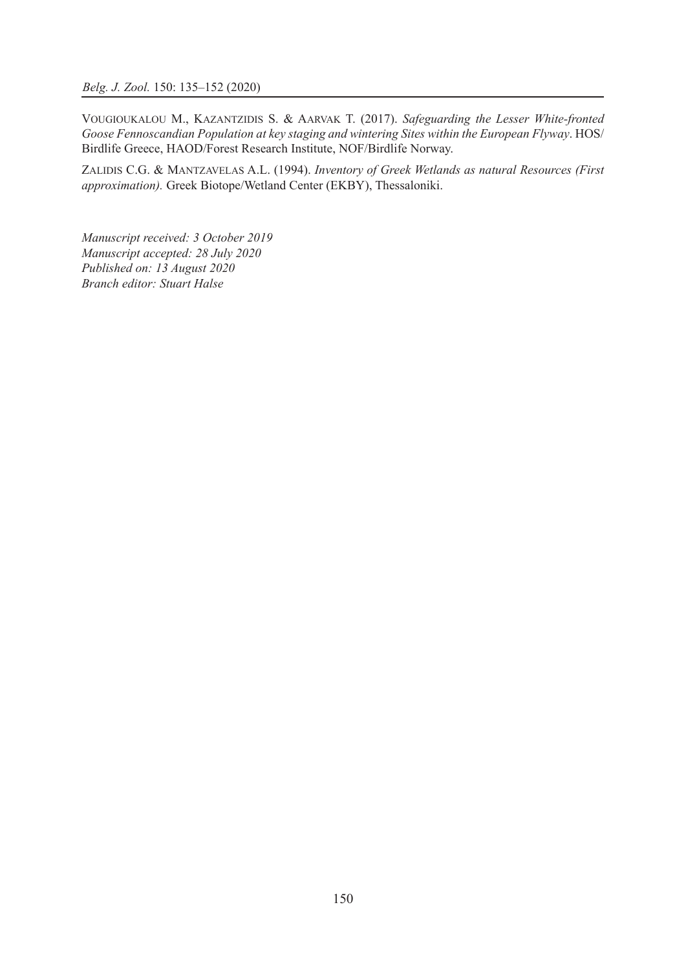VOUGIOUKALOU M., KAZANTZIDIS S. & AARVAK T. (2017). *Safeguarding the Lesser White-fronted Goose Fennoscandian Population at key staging and wintering Sites within the European Flyway*. HOS/ Birdlife Greece, HAOD/Forest Research Institute, NOF/Birdlife Norway.

Zalidis C.G. & Mantzavelas A.L. (1994). *Inventory of Greek Wetlands as natural Resources (First approximation).* Greek Biotope/Wetland Center (EKBY), Thessaloniki.

*Manuscript received: 3 October 2019 Manuscript accepted: 28 July 2020 Published on: 13 August 2020 Branch editor: Stuart Halse*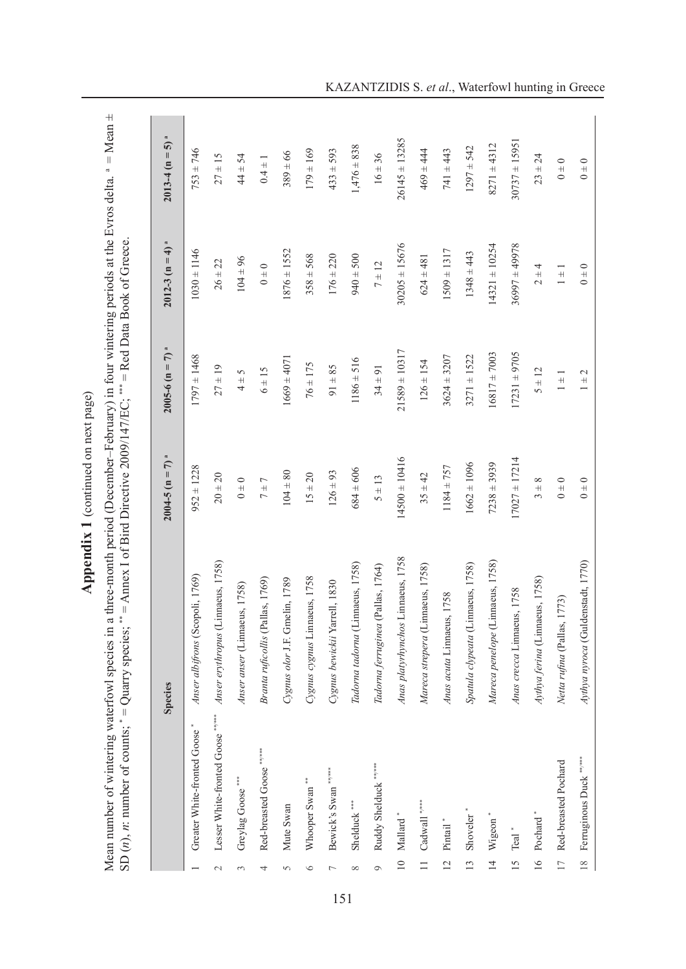Appendix 1 (continued on next page) **Appendix 1** (continued on next page)

Mean number of wintering waterfowl species in a three-month period (December–February) in four wintering periods at the Evros delta.  $^a$  = Mean  $\pm$  SD (*n*), *n*: number of counts;  $^*$  = Quarry species;  $^{**}$  = Annex I Mean number of wintering waterfowl species in a three-month period (December–February) in four wintering periods at the Evros delta. a = Mean ± SD  $(n)$ ,  $n$ : number of counts;  $^* =$  Quarry species;  $^{**} =$  Annex I of Bird Directive 2009/147/EC;  $^{***} =$  Red Data Book of Greece.

|                 |                                   | <b>Species</b>                    | $2004-5 (n = 7)^{a}$ | $2005-6(n=7)$ <sup>a</sup> | $2012-3(n=4)^{a}$ | $2013-4(n=5)^{a}$ |
|-----------------|-----------------------------------|-----------------------------------|----------------------|----------------------------|-------------------|-------------------|
|                 | Greater White-fronted Goose*      | Anser albifrons (Scopoli, 1769)   | $952 \pm 1228$       | $1797 \pm 1468$            | $1030 \pm 1146$   | $753 + 746$       |
| $\mathcal{L}$   | Lesser White-fronted Goose ****** | Anser erythropus (Linnaeus, 1758) | $20 \pm 20$          | $27 \pm 19$                | $26 \pm 22$       | $27 \pm 15$       |
| 3               | Greylag Goose ****                | Anser anser (Linnaeus, 1758)      | $0 + 0$              | 4 ± 5                      | $104 \pm 96$      | $44 \pm 54$       |
| 4               | Red-breasted Goose ******         | Branta ruficollis (Pallas, 1769)  | $7 \pm 7$            | 6 ± 15                     | $0 + 0$           | $0.4 \pm 1$       |
| 5               | Mute Swan                         | Cygnus olor J.F. Gmelin, 1789     | $104 + 80$           | $1669 \pm 407$             | $1876 \pm 1552$   | $389 \pm 66$      |
| $\circ$         | Whooper Swan **                   | Cygnus cygnus Linnaeus, 1758      | $15 \pm 20$          | $76 \pm 175$               | $358 \pm 568$     | $179 \pm 169$     |
| Γ               | Bewick's Swan                     | Cygnus bewickii Yarrell, 1830     | $126 \pm 93$         | $-81 \pm 85$               | $176 \pm 220$     | $433 \pm 593$     |
| $\infty$        | Shelduck ***                      | Tadorna tadorna (Linnaeus, 1758)  | $684 \pm 606$        | $1186 \pm 516$             | $940 \pm 500$     | $1,476 \pm 838$   |
| $\circ$         | Ruddy Shelduck *******            | Tadorna ferruginea (Pallas, 1764) | $5 + 13$             | $34 \pm 91$                | $7 + 12$          | $16 + 36$         |
|                 | 10 Mallard *                      | Anas platyrhynchos Linnaeus, 1758 | $14500 \pm 10416$    | $21589 \pm 10317$          | $30205 \pm 15676$ | $26145 \pm 13285$ |
| $\equiv$        | Cadwall */***                     | Mareca strepera (Linnaeus, 1758)  | $35 \pm 42$          | $126 \pm 154$              | $624 \pm 481$     | $469 \pm 444$     |
| $\overline{c}$  | $\mbox{Pintail}^*$                | Anas acuta Linnaeus, 1758         | $1184 + 757$         | $3624 \pm 3207$            | $1509 \pm 1317$   | $741 \pm 443$     |
| $\overline{13}$ | Shoveler <sup>*</sup>             | Spatula clypeata (Linnaeus, 1758) | $1662 \pm 1096$      | $3271 \pm 1522$            | $1348 \pm 443$    | $1297 + 542$      |
| $\overline{4}$  | Wigeon <sup>*</sup>               | Mareca penelope (Linnaeus, 1758)  | $7238 + 3939$        | $16817 \pm 7003$           | $14321 \pm 10254$ | $8271 \pm 4312$   |
|                 | $15$ Teal <sup>*</sup>            | Anas crecca Linnaeus, 1758        | $17027 \pm 17214$    | $17231 \pm 9705$           | $36997 \pm 49978$ | $30737 \pm 15951$ |
|                 | 16 Pochard <sup>*</sup>           | Aythya ferina (Linnaeus, 1758)    | $3 \pm 8$            | $5 + 12$                   | $2 + 4$           | $23 \pm 24$       |
|                 | 17 Red-breasted Pochard           | Netta rufina (Pallas, 1773)       | $0 \pm 0$            | $1 \pm 1$                  | $1 \pm 1$         | $0 \pm 0$         |
|                 | 18 Ferruginous Duck ***           | Aythya nyroca (Guldenstadt, 1770) | $0 + 0$              | $1 \pm 2$                  | $0 + 0$           | $0 \pm 0$         |

KAZANTZIDIS S. *et al*., Waterfowl hunting in Greece